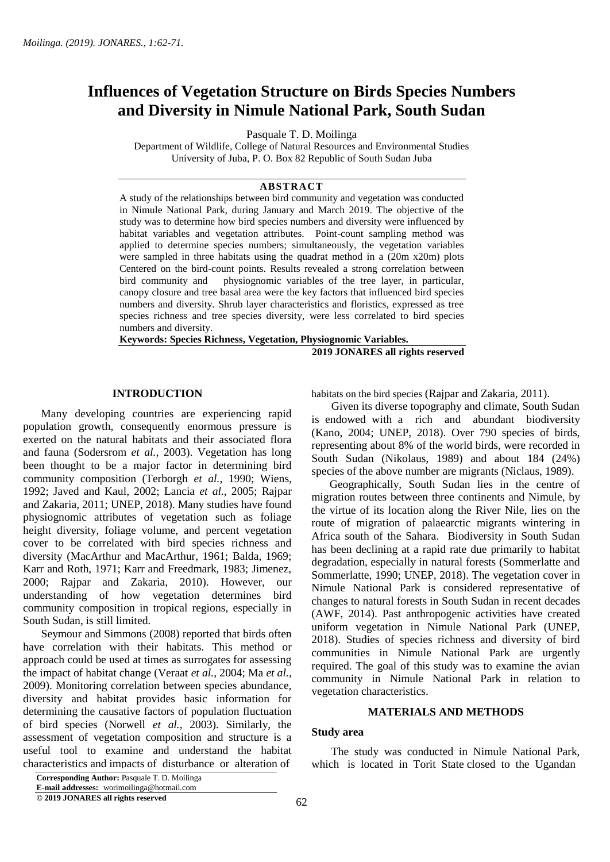# **Influences of Vegetation Structure on Birds Species Numbers and Diversity in Nimule National Park, South Sudan**

Pasquale T. D. Moilinga

Department of Wildlife, College of Natural Resources and Environmental Studies University of Juba, P. O. Box 82 Republic of South Sudan Juba

### **ABSTRACT**

A study of the relationships between bird community and vegetation was conducted in Nimule National Park, during January and March 2019. The objective of the study was to determine how bird species numbers and diversity were influenced by habitat variables and vegetation attributes. Point-count sampling method was applied to determine species numbers; simultaneously, the vegetation variables were sampled in three habitats using the quadrat method in a (20m x20m) plots Centered on the bird-count points. Results revealed a strong correlation between bird community and physiognomic variables of the tree layer, in particular, canopy closure and tree basal area were the key factors that influenced bird species numbers and diversity. Shrub layer characteristics and floristics, expressed as tree species richness and tree species diversity, were less correlated to bird species numbers and diversity.

**Keywords: Species Richness, Vegetation, Physiognomic Variables. 2019 JONARES all rights reserved** 

### **INTRODUCTION**

 Many developing countries are experiencing rapid population growth, consequently enormous pressure is exerted on the natural habitats and their associated flora and fauna (Sodersrom *et al.*, 2003). Vegetation has long been thought to be a major factor in determining bird community composition (Terborgh *et al.*, 1990; Wiens, 1992; Javed and Kaul, 2002; Lancia *et al.*, 2005; Rajpar and Zakaria, 2011; UNEP, 2018). Many studies have found physiognomic attributes of vegetation such as foliage height diversity, foliage volume, and percent vegetation cover to be correlated with bird species richness and diversity (MacArthur and MacArthur, 1961; Balda, 1969; Karr and Roth, 1971; Karr and Freedmark, 1983; Jimenez, 2000; Rajpar and Zakaria, 2010). However, our understanding of how vegetation determines bird community composition in tropical regions, especially in South Sudan, is still limited.

 Seymour and Simmons (2008) reported that birds often have correlation with their habitats. This method or approach could be used at times as surrogates for assessing the impact of habitat change (Veraat *et al.*, 2004; Ma *et al.*, 2009). Monitoring correlation between species abundance, diversity and habitat provides basic information for determining the causative factors of population fluctuation of bird species (Norwell *et al.*, 2003). Similarly, the assessment of vegetation composition and structure is a useful tool to examine and understand the habitat characteristics and impacts of disturbance or alteration of

**Corresponding Author:** Pasquale T. D. Moilinga

**E-mail addresses:** worimoilinga@hotmail.com

**© 2019 JONARES all rights reserved**

habitats on the bird species (Rajpar and Zakaria, 2011).

 Given its diverse topography and climate, South Sudan is endowed with a rich and abundant biodiversity (Kano, 2004; UNEP, 2018). Over 790 species of birds, representing about 8% of the world birds, were recorded in South Sudan (Nikolaus, 1989) and about 184 (24%) species of the above number are migrants (Niclaus, 1989).

 Geographically, South Sudan lies in the centre of migration routes between three continents and Nimule, by the virtue of its location along the River Nile, lies on the route of migration of palaearctic migrants wintering in Africa south of the Sahara. Biodiversity in South Sudan has been declining at a rapid rate due primarily to habitat degradation, especially in natural forests (Sommerlatte and Sommerlatte, 1990; UNEP, 2018). The vegetation cover in Nimule National Park is considered representative of changes to natural forests in South Sudan in recent decades (AWF, 2014). Past anthropogenic activities have created uniform vegetation in Nimule National Park (UNEP, 2018). Studies of species richness and diversity of bird communities in Nimule National Park are urgently required. The goal of this study was to examine the avian community in Nimule National Park in relation to vegetation characteristics.

### **MATERIALS AND METHODS**

#### **Study area**

 The study was conducted in Nimule National Park, which is located in Torit State closed to the Ugandan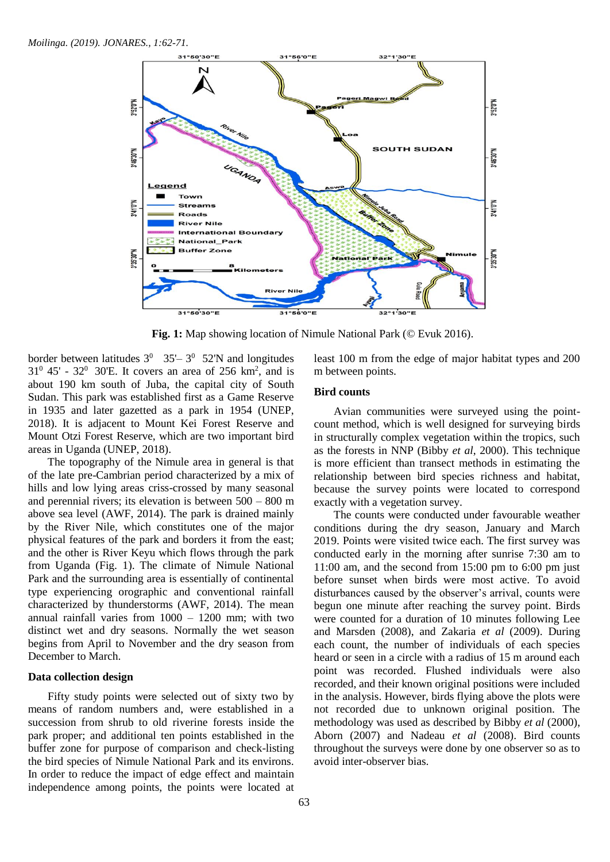

 **Fig. 1:** Map showing location of Nimule National Park (© Evuk 2016).

border between latitudes  $3^0$  35' –  $3^0$  52'N and longitudes  $31^{\circ}$  45' - 32 $^{\circ}$  30'E. It covers an area of 256 km<sup>2</sup>, and is about 190 km south of Juba, the capital city of South Sudan. This park was established first as a Game Reserve in 1935 and later gazetted as a park in 1954 (UNEP, 2018). It is adjacent to Mount Kei Forest Reserve and Mount Otzi Forest Reserve, which are two important bird areas in Uganda (UNEP, 2018).

 The topography of the Nimule area in general is that of the late pre-Cambrian period characterized by a mix of hills and low lying areas criss-crossed by many seasonal and perennial rivers; its elevation is between 500 – 800 m above sea level (AWF, 2014). The park is drained mainly by the River Nile, which constitutes one of the major physical features of the park and borders it from the east; and the other is River Keyu which flows through the park from Uganda (Fig. 1). The climate of Nimule National Park and the surrounding area is essentially of continental type experiencing orographic and conventional rainfall characterized by thunderstorms (AWF, 2014). The mean annual rainfall varies from 1000 – 1200 mm; with two distinct wet and dry seasons. Normally the wet season begins from April to November and the dry season from December to March.

### **Data collection design**

 Fifty study points were selected out of sixty two by means of random numbers and, were established in a succession from shrub to old riverine forests inside the park proper; and additional ten points established in the buffer zone for purpose of comparison and check-listing the bird species of Nimule National Park and its environs. In order to reduce the impact of edge effect and maintain independence among points, the points were located at

least 100 m from the edge of major habitat types and 200 m between points.

### **Bird counts**

 Avian communities were surveyed using the pointcount method, which is well designed for surveying birds in structurally complex vegetation within the tropics, such as the forests in NNP (Bibby *et al*, 2000). This technique is more efficient than transect methods in estimating the relationship between bird species richness and habitat, because the survey points were located to correspond exactly with a vegetation survey.

 The counts were conducted under favourable weather conditions during the dry season, January and March 2019. Points were visited twice each. The first survey was conducted early in the morning after sunrise 7:30 am to 11:00 am, and the second from 15:00 pm to 6:00 pm just before sunset when birds were most active. To avoid disturbances caused by the observer's arrival, counts were begun one minute after reaching the survey point. Birds were counted for a duration of 10 minutes following Lee and Marsden (2008), and Zakaria *et al* (2009). During each count, the number of individuals of each species heard or seen in a circle with a radius of 15 m around each point was recorded. Flushed individuals were also recorded, and their known original positions were included in the analysis. However, birds flying above the plots were not recorded due to unknown original position. The methodology was used as described by Bibby *et al* (2000), Aborn (2007) and Nadeau *et al* (2008). Bird counts throughout the surveys were done by one observer so as to avoid inter-observer bias.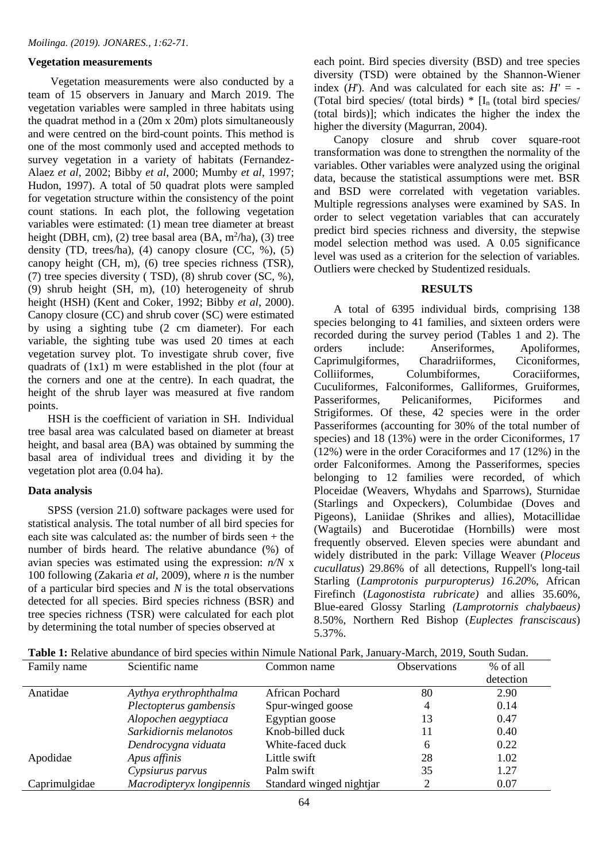# **Vegetation measurements**

 Vegetation measurements were also conducted by a team of 15 observers in January and March 2019. The vegetation variables were sampled in three habitats using the quadrat method in a (20m x 20m) plots simultaneously and were centred on the bird-count points. This method is one of the most commonly used and accepted methods to survey vegetation in a variety of habitats (Fernandez-Alaez *et al*, 2002; Bibby *et al*, 2000; Mumby *et al*, 1997; Hudon, 1997). A total of 50 quadrat plots were sampled for vegetation structure within the consistency of the point count stations. In each plot, the following vegetation variables were estimated: (1) mean tree diameter at breast height (DBH, cm), (2) tree basal area (BA,  $m^2/ha$ ), (3) tree density (TD, trees/ha), (4) canopy closure (CC,  $\%$ ), (5) canopy height (CH, m), (6) tree species richness (TSR), (7) tree species diversity ( TSD), (8) shrub cover (SC, %), (9) shrub height (SH, m), (10) heterogeneity of shrub height (HSH) (Kent and Coker, 1992; Bibby *et al*, 2000). Canopy closure (CC) and shrub cover (SC) were estimated by using a sighting tube (2 cm diameter). For each variable, the sighting tube was used 20 times at each vegetation survey plot. To investigate shrub cover, five quadrats of (1x1) m were established in the plot (four at the corners and one at the centre). In each quadrat, the height of the shrub layer was measured at five random points.

 HSH is the coefficient of variation in SH. Individual tree basal area was calculated based on diameter at breast height, and basal area (BA) was obtained by summing the basal area of individual trees and dividing it by the vegetation plot area (0.04 ha).

# **Data analysis**

 SPSS (version 21.0) software packages were used for statistical analysis. The total number of all bird species for each site was calculated as: the number of birds seen + the number of birds heard. The relative abundance (%) of avian species was estimated using the expression: *n/N* x 100 following (Zakaria *et al*, 2009), where *n* is the number of a particular bird species and *N* is the total observations detected for all species. Bird species richness (BSR) and tree species richness (TSR) were calculated for each plot by determining the total number of species observed at

each point. Bird species diversity (BSD) and tree species diversity (TSD) were obtained by the Shannon-Wiener index  $(H)$ . And was calculated for each site as:  $H' = -$ (Total bird species/ (total birds)  $*$  [I<sub>n</sub> (total bird species/ (total birds)]; which indicates the higher the index the higher the diversity (Magurran, 2004).

 Canopy closure and shrub cover square-root transformation was done to strengthen the normality of the variables. Other variables were analyzed using the original data, because the statistical assumptions were met. BSR and BSD were correlated with vegetation variables. Multiple regressions analyses were examined by SAS. In order to select vegetation variables that can accurately predict bird species richness and diversity, the stepwise model selection method was used. A 0.05 significance level was used as a criterion for the selection of variables. Outliers were checked by Studentized residuals.

# **RESULTS**

 A total of 6395 individual birds, comprising 138 species belonging to 41 families, and sixteen orders were recorded during the survey period (Tables 1 and 2). The orders include: Anseriformes, Apoliformes, Caprimulgiformes, Charadriiformes, Ciconiformes, Colliiformes, Columbiformes, Coraciiformes, Cuculiformes, Falconiformes, Galliformes, Gruiformes, Passeriformes, Pelicaniformes, Piciformes and Strigiformes. Of these, 42 species were in the order Passeriformes (accounting for 30% of the total number of species) and 18 (13%) were in the order Ciconiformes, 17 (12%) were in the order Coraciformes and 17 (12%) in the order Falconiformes. Among the Passeriformes, species belonging to 12 families were recorded, of which Ploceidae (Weavers, Whydahs and Sparrows), Sturnidae (Starlings and Oxpeckers), Columbidae (Doves and Pigeons), Laniidae (Shrikes and allies), Motacillidae (Wagtails) and Bucerotidae (Hornbills) were most frequently observed. Eleven species were abundant and widely distributed in the park: Village Weaver (*Ploceus cucullatus*) 29.86% of all detections, Ruppell's long-tail Starling (*Lamprotonis purpuropterus) 16.20*%, African Firefinch (*Lagonostista rubricate)* and allies 35.60%*,*  Blue-eared Glossy Starling *(Lamprotornis chalybaeus)* 8.50%, Northern Red Bishop (*Euplectes fransciscaus*) 5.37%.

| <b>Table 1:</b> Relative abundance of bird species within Nimule National Park, January-March, 2019, South Sudan. |
|-------------------------------------------------------------------------------------------------------------------|
|-------------------------------------------------------------------------------------------------------------------|

| Family name   | Scientific name           | Common name              | <b>Observations</b> | % of all  |
|---------------|---------------------------|--------------------------|---------------------|-----------|
|               |                           |                          |                     | detection |
| Anatidae      | Aythya erythrophthalma    | African Pochard          | 80                  | 2.90      |
|               | Plectopterus gambensis    | Spur-winged goose        | 4                   | 0.14      |
|               | Alopochen aegyptiaca      | Egyptian goose           | 13                  | 0.47      |
|               | Sarkidiornis melanotos    | Knob-billed duck         |                     | 0.40      |
|               | Dendrocygna viduata       | White-faced duck         | 6                   | 0.22      |
| Apodidae      | Apus affinis              | Little swift             | 28                  | 1.02      |
|               | Cypsiurus parvus          | Palm swift               | 35                  | 1.27      |
| Caprimulgidae | Macrodipteryx longipennis | Standard winged nightjar |                     | 0.07      |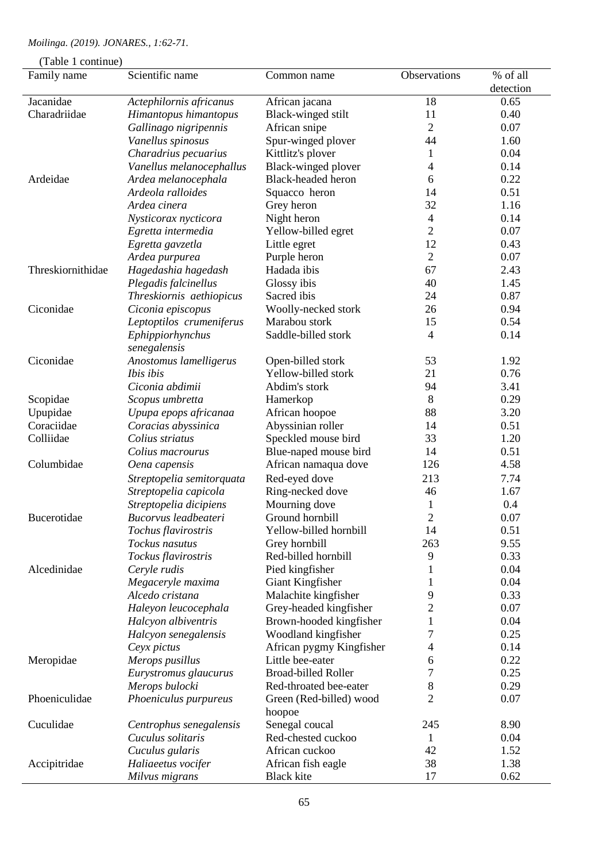|  |  | Moilinga. (2019). JONARES., 1:62-71. |  |
|--|--|--------------------------------------|--|
|--|--|--------------------------------------|--|

| (Table 1 continue) |                                  |                                                      |                |                       |  |
|--------------------|----------------------------------|------------------------------------------------------|----------------|-----------------------|--|
| Family name        | Scientific name                  | Common name                                          | Observations   | % of all<br>detection |  |
| Jacanidae          | Actephilornis africanus          | African jacana                                       | 18             | 0.65                  |  |
| Charadriidae       | Himantopus himantopus            | Black-winged stilt                                   | 11             | 0.40                  |  |
|                    | Gallinago nigripennis            | African snipe                                        | $\overline{c}$ | 0.07                  |  |
|                    | Vanellus spinosus                | Spur-winged plover                                   | 44             | 1.60                  |  |
|                    | Charadrius pecuarius             | Kittlitz's plover                                    | 1              | 0.04                  |  |
|                    | Vanellus melanocephallus         | Black-winged plover                                  | 4              | 0.14                  |  |
| Ardeidae           | Ardea melanocephala              | <b>Black-headed heron</b>                            | 6              | 0.22                  |  |
|                    | Ardeola ralloides                | Squacco heron                                        | 14             | 0.51                  |  |
|                    | Ardea cinera                     | Grey heron                                           | 32             | 1.16                  |  |
|                    | Nysticorax nycticora             | Night heron                                          | 4              | 0.14                  |  |
|                    | Egretta intermedia               | Yellow-billed egret                                  | $\overline{2}$ | 0.07                  |  |
|                    | Egretta gavzetla                 | Little egret                                         | 12             | 0.43                  |  |
|                    | Ardea purpurea                   | Purple heron                                         | $\overline{2}$ | 0.07                  |  |
| Threskiornithidae  | Hagedashia hagedash              | Hadada ibis                                          | 67             | 2.43                  |  |
|                    | Plegadis falcinellus             | Glossy ibis                                          | 40             | 1.45                  |  |
|                    | Threskiornis aethiopicus         | Sacred ibis                                          | 24             | 0.87                  |  |
| Ciconidae          | Ciconia episcopus                | Woolly-necked stork                                  | 26             | 0.94                  |  |
|                    | Leptoptilos crumeniferus         | Marabou stork                                        | 15             | 0.54                  |  |
|                    | Ephippiorhynchus<br>senegalensis | Saddle-billed stork                                  | 4              | 0.14                  |  |
| Ciconidae          | Anostomus lamelligerus           | Open-billed stork                                    | 53             | 1.92                  |  |
|                    | Ibis ibis                        | Yellow-billed stork                                  | 21             | 0.76                  |  |
|                    | Ciconia abdimii                  | Abdim's stork                                        | 94             | 3.41                  |  |
| Scopidae           | Scopus umbretta                  | Hamerkop                                             | 8              | 0.29                  |  |
| Upupidae           | Upupa epops africanaa            | African hoopoe                                       | 88             | 3.20                  |  |
| Coraciidae         | Coracias abyssinica              | Abyssinian roller                                    | 14             | 0.51                  |  |
| Colliidae          | Colius striatus                  | Speckled mouse bird                                  | 33             | 1.20                  |  |
|                    | Colius macrourus                 | Blue-naped mouse bird                                | 14             | 0.51                  |  |
| Columbidae         | Oena capensis                    | African namaqua dove                                 | 126            | 4.58                  |  |
|                    | Streptopelia semitorquata        | Red-eyed dove                                        | 213            | 7.74                  |  |
|                    | Streptopelia capicola            | Ring-necked dove                                     | 46             | 1.67                  |  |
|                    | Streptopelia dicipiens           | Mourning dove                                        | $\mathbf{1}$   | 0.4                   |  |
| Bucerotidae        | Bucorvus leadbeateri             | Ground hornbill                                      | 2              | 0.07                  |  |
|                    | Tochus flavirostris              | Yellow-billed hornbill                               | 14             | 0.51                  |  |
|                    | Tockus nasutus                   | Grey hornbill                                        | 263            | 9.55                  |  |
|                    | Tockus flavirostris              | Red-billed hornbill                                  | 9              | 0.33                  |  |
| Alcedinidae        | Ceryle rudis                     | Pied kingfisher                                      | 1              | 0.04                  |  |
|                    | Megaceryle maxima                | Giant Kingfisher                                     | 1              | 0.04                  |  |
|                    | Alcedo cristana                  | Malachite kingfisher                                 | 9              | 0.33                  |  |
|                    | Haleyon leucocephala             | Grey-headed kingfisher                               | $\overline{c}$ | 0.07                  |  |
|                    | Halcyon albiventris              | Brown-hooded kingfisher                              | 1              | 0.04                  |  |
|                    | Halcyon senegalensis             | Woodland kingfisher                                  | 7              | 0.25                  |  |
|                    |                                  |                                                      |                | 0.14                  |  |
|                    | Ceyx pictus                      | African pygmy Kingfisher<br>Little bee-eater         | 4              | 0.22                  |  |
| Meropidae          | Merops pusillus                  |                                                      | 6              |                       |  |
|                    | Eurystromus glaucurus            | <b>Broad-billed Roller</b><br>Red-throated bee-eater | 7<br>8         | 0.25<br>0.29          |  |
|                    | Merops bulocki                   |                                                      |                |                       |  |
| Phoeniculidae      | Phoeniculus purpureus            | Green (Red-billed) wood<br>hoopoe                    | $\overline{c}$ | 0.07                  |  |
| Cuculidae          | Centrophus senegalensis          | Senegal coucal                                       | 245            | 8.90                  |  |
|                    | Cuculus solitaris                | Red-chested cuckoo                                   | 1              | 0.04                  |  |
|                    | Cuculus gularis                  | African cuckoo                                       | 42             | 1.52                  |  |
| Accipitridae       | Haliaeetus vocifer               | African fish eagle                                   | 38             | 1.38                  |  |
|                    | Milvus migrans                   | <b>Black kite</b>                                    | 17             | 0.62                  |  |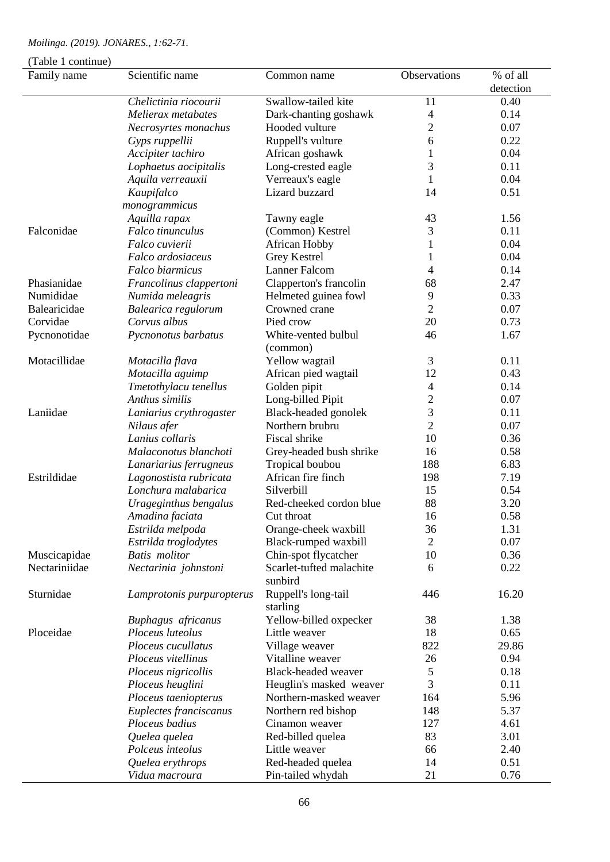| (Table 1 continue)<br>Family name | Scientific name           | Common name                         | Observations   | % of all  |
|-----------------------------------|---------------------------|-------------------------------------|----------------|-----------|
|                                   |                           |                                     |                | detection |
|                                   | Chelictinia riocourii     | Swallow-tailed kite                 | 11             | 0.40      |
|                                   | Melierax metabates        | Dark-chanting goshawk               | $\overline{4}$ | 0.14      |
|                                   | Necrosyrtes monachus      | Hooded vulture                      | $\mathbf{2}$   | 0.07      |
|                                   | Gyps ruppellii            | Ruppell's vulture                   | 6              | 0.22      |
|                                   | Accipiter tachiro         | African goshawk                     | $\mathbf{1}$   | 0.04      |
|                                   | Lophaetus aocipitalis     | Long-crested eagle                  | 3              | 0.11      |
|                                   | Aquila verreauxii         | Verreaux's eagle                    | 1              | 0.04      |
|                                   | Kaupifalco                | Lizard buzzard                      | 14             | 0.51      |
|                                   | monogrammicus             |                                     |                |           |
|                                   | Aquilla rapax             | Tawny eagle                         | 43             | 1.56      |
| Falconidae                        | Falco tinunculus          | (Common) Kestrel                    | 3              | 0.11      |
|                                   | Falco cuvierii            | <b>African Hobby</b>                | 1              | 0.04      |
|                                   | Falco ardosiaceus         | <b>Grey Kestrel</b>                 | 1              | 0.04      |
|                                   | Falco biarmicus           | <b>Lanner Falcom</b>                | 4              | 0.14      |
| Phasianidae                       | Francolinus clappertoni   | Clapperton's francolin              | 68             | 2.47      |
| Numididae                         | Numida meleagris          | Helmeted guinea fowl                | 9              | 0.33      |
| Balearicidae                      | Balearica regulorum       | Crowned crane                       | $\overline{2}$ | 0.07      |
| Corvidae                          | Corvus albus              | Pied crow                           | 20             | 0.73      |
| Pycnonotidae                      | Pycnonotus barbatus       | White-vented bulbul<br>(common)     | 46             | 1.67      |
| Motacillidae                      | Motacilla flava           | Yellow wagtail                      | 3              | 0.11      |
|                                   | Motacilla aguimp          | African pied wagtail                | 12             | 0.43      |
|                                   | Tmetothylacu tenellus     | Golden pipit                        | 4              | 0.14      |
|                                   | Anthus similis            | Long-billed Pipit                   | $\mathbf{2}$   | 0.07      |
| Laniidae                          | Laniarius crythrogaster   | Black-headed gonolek                | 3              | 0.11      |
|                                   | Nilaus afer               | Northern brubru                     | $\overline{2}$ | 0.07      |
|                                   | Lanius collaris           | Fiscal shrike                       | 10             | 0.36      |
|                                   | Malaconotus blanchoti     | Grey-headed bush shrike             | 16             | 0.58      |
|                                   | Lanariarius ferrugneus    | Tropical boubou                     | 188            | 6.83      |
| Estrildidae                       | Lagonostista rubricata    | African fire finch                  | 198            | 7.19      |
|                                   | Lonchura malabarica       | Silverbill                          | 15             | 0.54      |
|                                   | Urageginthus bengalus     | Red-cheeked cordon blue             | 88             | 3.20      |
|                                   | Amadina faciata           | Cut throat                          | 16             | 0.58      |
|                                   | Estrilda melpoda          | Orange-cheek waxbill                | 36             | 1.31      |
|                                   | Estrilda troglodytes      | Black-rumped waxbill                | $\mathfrak{2}$ | 0.07      |
| Muscicapidae                      | <b>Batis</b> molitor      | Chin-spot flycatcher                | 10             | 0.36      |
| Nectariniidae                     | Nectarinia johnstoni      | Scarlet-tufted malachite<br>sunbird | 6              | 0.22      |
| Sturnidae                         | Lamprotonis purpuropterus | Ruppell's long-tail<br>starling     | 446            | 16.20     |
|                                   | Buphagus africanus        | Yellow-billed oxpecker              | 38             | 1.38      |
| Ploceidae                         | Ploceus luteolus          | Little weaver                       | 18             | 0.65      |
|                                   | Ploceus cucullatus        | Village weaver                      | 822            | 29.86     |
|                                   | Ploceus vitellinus        | Vitalline weaver                    | 26             | 0.94      |
|                                   | Ploceus nigricollis       | Black-headed weaver                 | 5              | 0.18      |
|                                   | Ploceus heuglini          | Heuglin's masked weaver             | 3              | 0.11      |
|                                   | Ploceus taeniopterus      | Northern-masked weaver              | 164            | 5.96      |
|                                   | Euplectes franciscanus    | Northern red bishop                 | 148            | 5.37      |
|                                   | Ploceus badius            | Cinamon weaver                      | 127            | 4.61      |
|                                   | Quelea quelea             | Red-billed quelea                   | 83             | 3.01      |
|                                   | Polceus inteolus          | Little weaver                       | 66             | 2.40      |
|                                   | Quelea erythrops          | Red-headed quelea                   | 14             | 0.51      |
|                                   | Vidua macroura            | Pin-tailed whydah                   | 21             | 0.76      |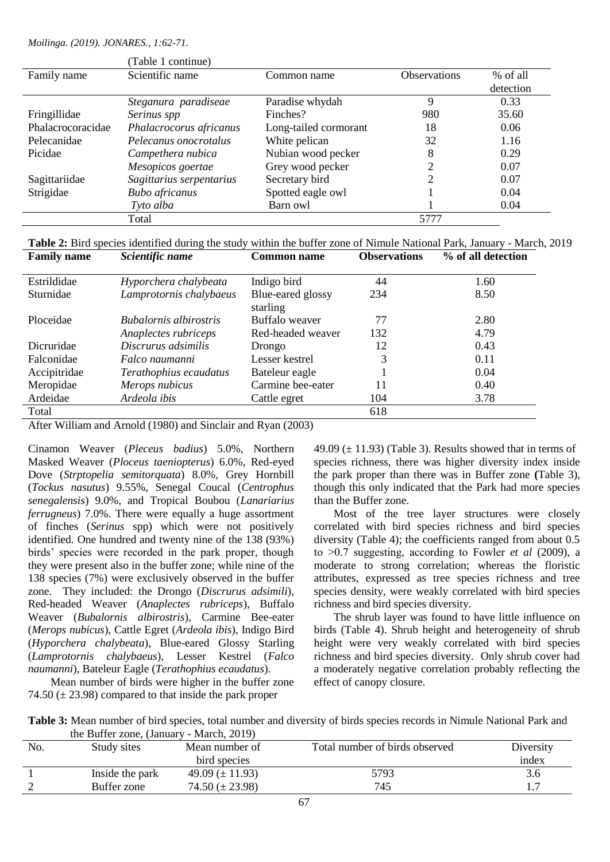|                   | (Table 1 continue)       |                       |                     |           |
|-------------------|--------------------------|-----------------------|---------------------|-----------|
| Family name       | Scientific name          | Common name           | <b>Observations</b> | % of all  |
|                   |                          |                       |                     | detection |
|                   | Steganura paradiseae     | Paradise whydah       | 9                   | 0.33      |
| Fringillidae      | Serinus spp              | Finches?              | 980                 | 35.60     |
| Phalacrocoracidae | Phalacrocorus africanus  | Long-tailed cormorant | 18                  | 0.06      |
| Pelecanidae       | Pelecanus onocrotalus    | White pelican         | 32                  | 1.16      |
| Picidae           | Campethera nubica        | Nubian wood pecker    | 8                   | 0.29      |
|                   | Mesopicos goertae        | Grey wood pecker      | າ                   | 0.07      |
| Sagittariidae     | Sagittarius serpentarius | Secretary bird        | 2                   | 0.07      |
| Strigidae         | <b>Bubo</b> africanus    | Spotted eagle owl     |                     | 0.04      |
|                   | Tyto alba                | Barn owl              |                     | 0.04      |
|                   | Total                    |                       | 5777                |           |

**Table 2:** Bird species identified during the study within the buffer zone of Nimule National Park, January - March, 2019

| <b>Family name</b> | Scientific name               | <b>Common name</b> | <b>Observations</b> | % of all detection |
|--------------------|-------------------------------|--------------------|---------------------|--------------------|
|                    |                               |                    |                     |                    |
| Estrildidae        | Hyporchera chalybeata         | Indigo bird        | 44                  | 1.60               |
| Sturnidae          | Lamprotornis chalybaeus       | Blue-eared glossy  | 234                 | 8.50               |
|                    |                               | starling           |                     |                    |
| Ploceidae          | <b>Bubalornis</b> albirostris | Buffalo weaver     | 77                  | 2.80               |
|                    | Anaplectes rubriceps          | Red-headed weaver  | 132                 | 4.79               |
| Dicruridae         | Discrurus adsimilis           | Drongo             | 12                  | 0.43               |
| Falconidae         | Falco naumanni                | Lesser kestrel     | 3                   | 0.11               |
| Accipitridae       | Terathophius ecaudatus        | Bateleur eagle     |                     | 0.04               |
| Meropidae          | Merops nubicus                | Carmine bee-eater  | 11                  | 0.40               |
| Ardeidae           | Ardeola ibis                  | Cattle egret       | 104                 | 3.78               |
| Total              |                               |                    | 618                 |                    |

After William and Arnold (1980) and Sinclair and Ryan (2003)

Cinamon Weaver (*Pleceus badius*) 5.0%, Northern Masked Weaver (*Ploceus taeniopterus*) 6.0%, Red-eyed Dove (*Strptopelia semitorquata*) 8.0%, Grey Hornbill (*Tockus nasutus*) 9.55%, Senegal Coucal (*Centrophus senegalensis*) 9.0%, and Tropical Boubou (*Lanariarius ferrugneus*) 7.0%. There were equally a huge assortment of finches (*Serinus* spp) which were not positively identified. One hundred and twenty nine of the 138 (93%) birds' species were recorded in the park proper, though they were present also in the buffer zone; while nine of the 138 species (7%) were exclusively observed in the buffer zone. They included: the Drongo (*Discrurus adsimili*)*,*  Red-headed Weaver (*Anaplectes rubriceps*), Buffalo Weaver (*Bubalornis albirostris*), Carmine Bee-eater (*Merops nubicus*), Cattle Egret (*Ardeola ibis*), Indigo Bird (*Hyporchera chalybeata*), Blue-eared Glossy Starling (*Lamprotornis chalybaeus*), Lesser Kestrel (*Falco naumanni*), Bateleur Eagle (*Terathophius ecaudatus*).

 Mean number of birds were higher in the buffer zone 74.50  $(\pm 23.98)$  compared to that inside the park proper

49.09  $(\pm 11.93)$  (Table 3). Results showed that in terms of species richness, there was higher diversity index inside the park proper than there was in Buffer zone **(**Table 3), though this only indicated that the Park had more species than the Buffer zone.

Most of the tree layer structures were closely correlated with bird species richness and bird species diversity (Table 4); the coefficients ranged from about 0.5 to ˃0.7 suggesting, according to Fowler *et al* (2009), a moderate to strong correlation; whereas the floristic attributes, expressed as tree species richness and tree species density, were weakly correlated with bird species richness and bird species diversity.

The shrub layer was found to have little influence on birds (Table 4). Shrub height and heterogeneity of shrub height were very weakly correlated with bird species richness and bird species diversity. Only shrub cover had a moderately negative correlation probably reflecting the effect of canopy closure.

**Table 3:** Mean number of bird species, total number and diversity of birds species records in Nimule National Park and the Buffer zone, (January - March, 2019)

|     | the Builet Bollet (building | $1.1441$ cm, $2017$ |                                |           |
|-----|-----------------------------|---------------------|--------------------------------|-----------|
| No. | Study sites                 | Mean number of      | Total number of birds observed | Diversity |
|     |                             | bird species        |                                | index     |
|     | Inside the park             | 49.09 $(\pm 11.93)$ | 5793                           | 5.6       |
|     | Buffer zone                 | 74.50 $(\pm 23.98)$ | 745                            |           |
|     |                             |                     |                                |           |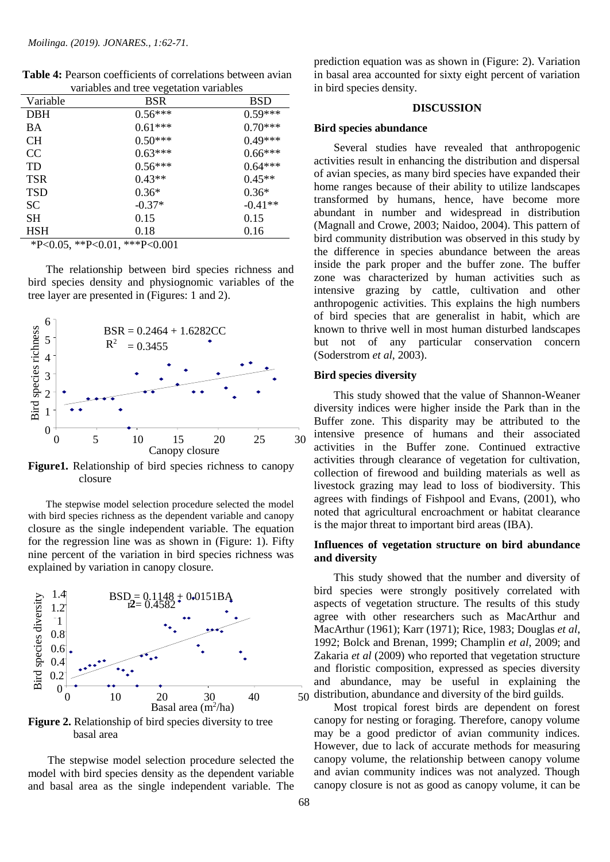|               | variables and tree vegetation variables |           |
|---------------|-----------------------------------------|-----------|
| Variable      | BSR                                     | BSD       |
| <b>DBH</b>    | $0.56***$                               | $0.59***$ |
| <b>BA</b>     | $0.61***$                               | $0.70***$ |
| <b>CH</b>     | $0.50***$                               | $0.49***$ |
| <sub>CC</sub> | $0.63***$                               | $0.66***$ |
| <b>TD</b>     | $0.56***$                               | $0.64***$ |
| <b>TSR</b>    | $0.43**$                                | $0.45**$  |
| <b>TSD</b>    | $0.36*$                                 | $0.36*$   |
| <b>SC</b>     | $-0.37*$                                | $-0.41**$ |
| SН            | 0.15                                    | 0.15      |
| <b>HSH</b>    | 0.18                                    | 0.16      |
|               |                                         |           |

**Table 4:** Pearson coefficients of correlations between avian variables and tree vegetation variables

\*P<0.05, \*\*P<0.01, \*\*\*P<0.001

 The relationship between bird species richness and bird species density and physiognomic variables of the tree layer are presented in (Figures: 1 and 2).



**Figure1.** Relationship of bird species richness to canopy closure

 The stepwise model selection procedure selected the model with bird species richness as the dependent variable and canopy closure as the single independent variable. The equation for the regression line was as shown in (Figure: 1). Fifty nine percent of the variation in bird species richness was explained by variation in canopy closure.



Figure 2. Relationship of bird species diversity to tree basal area

 The stepwise model selection procedure selected the model with bird species density as the dependent variable and basal area as the single independent variable. The

prediction equation was as shown in (Figure: 2). Variation in basal area accounted for sixty eight percent of variation in bird species density.

### **DISCUSSION**

#### **Bird species abundance**

 Several studies have revealed that anthropogenic activities result in enhancing the distribution and dispersal of avian species, as many bird species have expanded their home ranges because of their ability to utilize landscapes transformed by humans, hence, have become more abundant in number and widespread in distribution (Magnall and Crowe, 2003; Naidoo, 2004). This pattern of bird community distribution was observed in this study by the difference in species abundance between the areas inside the park proper and the buffer zone. The buffer zone was characterized by human activities such as intensive grazing by cattle, cultivation and other anthropogenic activities. This explains the high numbers of bird species that are generalist in habit, which are known to thrive well in most human disturbed landscapes but not of any particular conservation concern (Soderstrom *et al*, 2003).

# **Bird species diversity**

 This study showed that the value of Shannon-Weaner diversity indices were higher inside the Park than in the Buffer zone. This disparity may be attributed to the intensive presence of humans and their associated activities in the Buffer zone. Continued extractive activities through clearance of vegetation for cultivation, collection of firewood and building materials as well as livestock grazing may lead to loss of biodiversity. This agrees with findings of Fishpool and Evans, (2001), who noted that agricultural encroachment or habitat clearance is the major threat to important bird areas (IBA).

# **Influences of vegetation structure on bird abundance and diversity**

 This study showed that the number and diversity of bird species were strongly positively correlated with aspects of vegetation structure. The results of this study agree with other researchers such as MacArthur and MacArthur (1961); Karr (1971); Rice, 1983; Douglas *et al*, 1992; Bolck and Brenan, 1999; Champlin *et al*, 2009; and Zakaria *et al* (2009) who reported that vegetation structure and floristic composition, expressed as species diversity and abundance, may be useful in explaining the distribution, abundance and diversity of the bird guilds.

 Most tropical forest birds are dependent on forest canopy for nesting or foraging. Therefore, canopy volume may be a good predictor of avian community indices. However, due to lack of accurate methods for measuring canopy volume, the relationship between canopy volume and avian community indices was not analyzed. Though canopy closure is not as good as canopy volume, it can be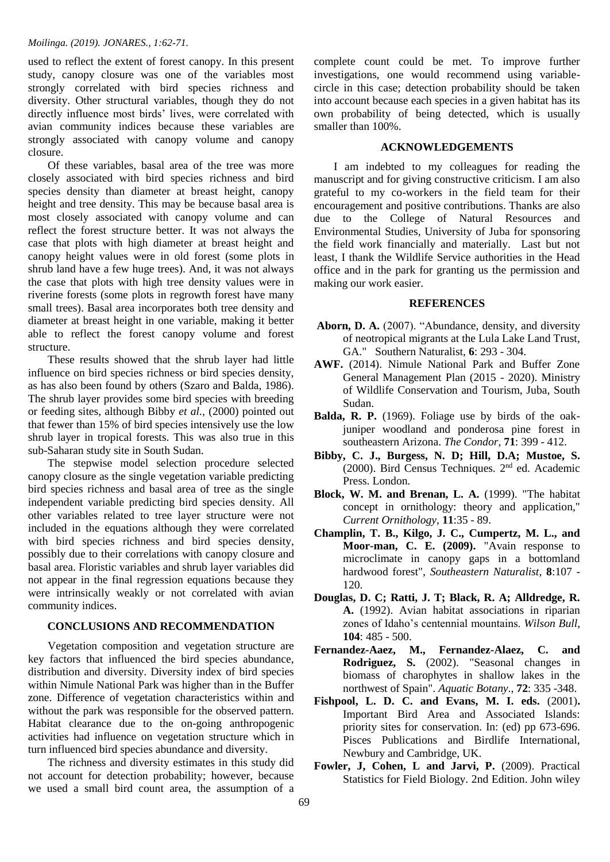used to reflect the extent of forest canopy. In this present study, canopy closure was one of the variables most strongly correlated with bird species richness and diversity. Other structural variables, though they do not directly influence most birds' lives, were correlated with avian community indices because these variables are strongly associated with canopy volume and canopy closure.

 Of these variables, basal area of the tree was more closely associated with bird species richness and bird species density than diameter at breast height, canopy height and tree density. This may be because basal area is most closely associated with canopy volume and can reflect the forest structure better. It was not always the case that plots with high diameter at breast height and canopy height values were in old forest (some plots in shrub land have a few huge trees). And, it was not always the case that plots with high tree density values were in riverine forests (some plots in regrowth forest have many small trees). Basal area incorporates both tree density and diameter at breast height in one variable, making it better able to reflect the forest canopy volume and forest structure.

 These results showed that the shrub layer had little influence on bird species richness or bird species density, as has also been found by others (Szaro and Balda, 1986). The shrub layer provides some bird species with breeding or feeding sites, although Bibby *et al.,* (2000) pointed out that fewer than 15% of bird species intensively use the low shrub layer in tropical forests. This was also true in this sub-Saharan study site in South Sudan.

 The stepwise model selection procedure selected canopy closure as the single vegetation variable predicting bird species richness and basal area of tree as the single independent variable predicting bird species density. All other variables related to tree layer structure were not included in the equations although they were correlated with bird species richness and bird species density, possibly due to their correlations with canopy closure and basal area. Floristic variables and shrub layer variables did not appear in the final regression equations because they were intrinsically weakly or not correlated with avian community indices.

# **CONCLUSIONS AND RECOMMENDATION**

 Vegetation composition and vegetation structure are key factors that influenced the bird species abundance, distribution and diversity. Diversity index of bird species within Nimule National Park was higher than in the Buffer zone. Difference of vegetation characteristics within and without the park was responsible for the observed pattern. Habitat clearance due to the on-going anthropogenic activities had influence on vegetation structure which in turn influenced bird species abundance and diversity.

 The richness and diversity estimates in this study did not account for detection probability; however, because we used a small bird count area, the assumption of a complete count could be met. To improve further investigations, one would recommend using variablecircle in this case; detection probability should be taken into account because each species in a given habitat has its own probability of being detected, which is usually smaller than 100%.

#### **ACKNOWLEDGEMENTS**

 I am indebted to my colleagues for reading the manuscript and for giving constructive criticism. I am also grateful to my co-workers in the field team for their encouragement and positive contributions. Thanks are also due to the College of Natural Resources and Environmental Studies, University of Juba for sponsoring the field work financially and materially. Last but not least, I thank the Wildlife Service authorities in the Head office and in the park for granting us the permission and making our work easier.

# **REFERENCES**

- Aborn, D. A. (2007). "Abundance, density, and diversity of neotropical migrants at the Lula Lake Land Trust, GA." Southern Naturalist, **6**: 293 - 304.
- **AWF.** (2014). Nimule National Park and Buffer Zone General Management Plan (2015 - 2020). Ministry of Wildlife Conservation and Tourism, Juba, South Sudan.
- **Balda, R. P.** (1969). Foliage use by birds of the oakjuniper woodland and ponderosa pine forest in southeastern Arizona. *The Condor*, **71**: 399 - 412.
- **Bibby, C. J., Burgess, N. D; Hill, D.A; Mustoe, S.**  (2000). Bird Census Techniques. 2<sup>nd</sup> ed. Academic Press. London.
- **Block, W. M. and Brenan, L. A.** (1999). "The habitat concept in ornithology: theory and application," *Current Ornithology*, **11**:35 - 89.
- **Champlin, T. B., Kilgo, J. C., Cumpertz, M. L., and Moor-man, C. E. (2009).** "Avain response to microclimate in canopy gaps in a bottomland hardwood forest", *Southeastern Naturalist*, **8**:107 - 120.
- **Douglas, D. C; Ratti, J. T; Black, R. A; Alldredge, R. A.** (1992). Avian habitat associations in riparian zones of Idaho's centennial mountains. *Wilson Bull*, **104**: 485 - 500.
- **Fernandez-Aaez, M., Fernandez-Alaez, C. and Rodriguez, S.** (2002). "Seasonal changes in biomass of charophytes in shallow lakes in the northwest of Spain". *Aquatic Botany*., **72**: 335 -348.
- **Fishpool, L. D. C. and Evans, M. I. eds.** (2001)**.** Important Bird Area and Associated Islands: priority sites for conservation. In: (ed) pp 673-696. Pisces Publications and Birdlife International, Newbury and Cambridge, UK.
- Fowler, J, Cohen, L and Jarvi, P. (2009). Practical Statistics for Field Biology. 2nd Edition. John wiley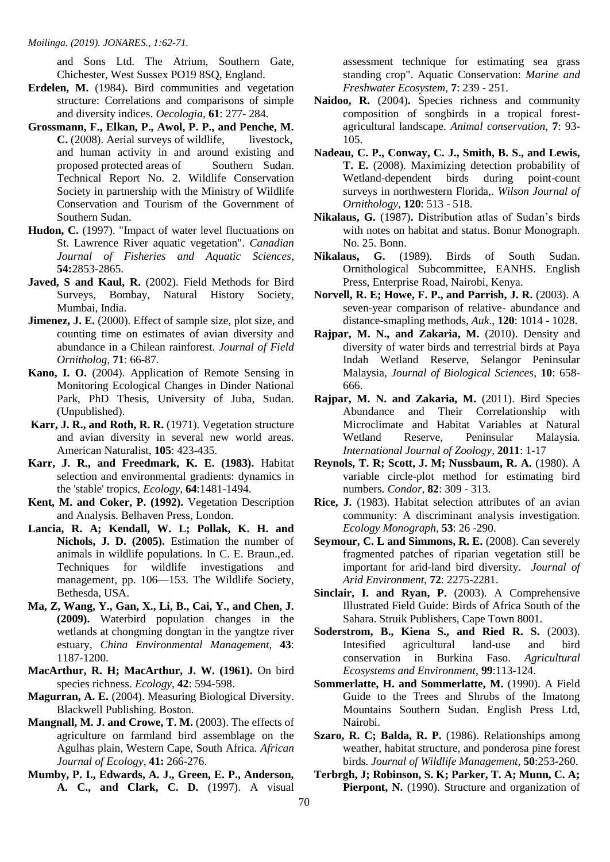and Sons Ltd. The Atrium, Southern Gate, Chichester, West Sussex PO19 8SQ, England.

- **Erdelen, M.** (1984)**.** Bird communities and vegetation structure: Correlations and comparisons of simple and diversity indices. *Oecologia*, **61**: 277- 284.
- **Grossmann, F., Elkan, P., Awol, P. P., and Penche, M. C.** (2008). Aerial surveys of wildlife, livestock, and human activity in and around existing and proposed protected areas of Southern Sudan. Technical Report No. 2. Wildlife Conservation Society in partnership with the Ministry of Wildlife Conservation and Tourism of the Government of Southern Sudan.
- **Hudon, C.** (1997). "Impact of water level fluctuations on St. Lawrence River aquatic vegetation". *Canadian Journal of Fisheries and Aquatic Sciences*, **54:**2853-2865.
- Javed, S and Kaul, R. (2002). Field Methods for Bird Surveys, Bombay, Natural History Society, Mumbai, India.
- **Jimenez, J. E.** (2000). Effect of sample size, plot size, and counting time on estimates of avian diversity and abundance in a Chilean rainforest. *Journal of Field Ornitholog*, **71**: 66-87.
- **Kano, I. O.** (2004). Application of Remote Sensing in Monitoring Ecological Changes in Dinder National Park, PhD Thesis, University of Juba, Sudan. (Unpublished).
- **Karr, J. R., and Roth, R. R.** (1971). Vegetation structure and avian diversity in several new world areas. American Naturalist, **105**: 423-435.
- **Karr, J. R., and Freedmark, K. E. (1983).** Habitat selection and environmental gradients: dynamics in the 'stable' tropics, *Ecology*, **64**:1481-1494.
- **Kent, M. and Coker, P. (1992).** Vegetation Description and Analysis. Belhaven Press, London.
- **Lancia, R. A; Kendall, W. L; Pollak, K. H. and Nichols, J. D. (2005).** Estimation the number of animals in wildlife populations. In C. E. Braun.,ed. Techniques for wildlife investigations and management, pp. 106—153. The Wildlife Society, Bethesda, USA.
- **Ma, Z, Wang, Y., Gan, X., Li, B., Cai, Y., and Chen, J. (2009).** Waterbird population changes in the wetlands at chongming dongtan in the yangtze river estuary, *China Environmental Management*, **43**: 1187-1200.
- **MacArthur, R. H; MacArthur, J. W. (1961).** On bird species richness. *Ecology*, **42**: 594-598.
- **Magurran, A. E.** (2004). Measuring Biological Diversity. Blackwell Publishing. Boston.
- **Mangnall, M. J. and Crowe, T. M.** (2003). The effects of agriculture on farmland bird assemblage on the Agulhas plain, Western Cape, South Africa*. African Journal of Ecology*, **41:** 266-276.
- **Mumby, P. I., Edwards, A. J., Green, E. P., Anderson, A. C., and Clark, C. D.** (1997). A visual

assessment technique for estimating sea grass standing crop". Aquatic Conservation: *Marine and Freshwater Ecosystem*, **7**: 239 - 251.

- **Naidoo, R.** (2004)**.** Species richness and community composition of songbirds in a tropical forestagricultural landscape. *Animal conservation*, **7**: 93- 105.
- **Nadeau, C. P., Conway, C. J., Smith, B. S., and Lewis, T. E.** (2008). Maximizing detection probability of Wetland-dependent birds during point-count surveys in northwestern Florida,. *Wilson Journal of Ornithology*, **120**: 513 - 518.
- **Nikalaus, G.** (1987)**.** Distribution atlas of Sudan's birds with notes on habitat and status. Bonur Monograph. No. 25. Bonn.
- **Nikalaus, G.** (1989). Birds of South Sudan. Ornithological Subcommittee, EANHS. English Press, Enterprise Road, Nairobi, Kenya.
- **Norvell, R. E; Howe, F. P., and Parrish, J. R.** (2003). A seven-year comparison of relative- abundance and distance-smapling methods, *Auk*., **120**: 1014 - 1028.
- **Rajpar, M. N., and Zakaria, M.** (2010). Density and diversity of water birds and terrestrial birds at Paya Indah Wetland Reserve, Selangor Peninsular Malaysia, *Journal of Biological Sciences*, **10**: 658- 666.
- **Rajpar, M. N. and Zakaria, M.** (2011). Bird Species Abundance and Their Correlationship with Microclimate and Habitat Variables at Natural Wetland Reserve, Peninsular Malaysia. *International Journal of Zoology*, **2011**: 1-17
- **Reynols, T. R; Scott, J. M; Nussbaum, R. A.** (1980). A variable circle-plot method for estimating bird numbers. *Condor*, **82**: 309 - 313.
- **Rice, J.** (1983). Habitat selection attributes of an avian community: A discriminant analysis investigation. *Ecology Monograph*, **53**: 26 -290.
- Seymour, C. L and Simmons, R. E. (2008). Can severely fragmented patches of riparian vegetation still be important for arid-land bird diversity. *Journal of Arid Environment*, **72**: 2275-2281.
- **Sinclair, I. and Ryan, P.** (2003). A Comprehensive Illustrated Field Guide: Birds of Africa South of the Sahara. Struik Publishers, Cape Town 8001.
- **Soderstrom, B., Kiena S., and Ried R. S.** (2003). Intesified agricultural land-use and bird conservation in Burkina Faso. *Agricultural Ecosystems and Environment*, **99**:113-124.
- Sommerlatte, H. and Sommerlatte, M. (1990). A Field Guide to the Trees and Shrubs of the Imatong Mountains Southern Sudan. English Press Ltd, Nairobi.
- **Szaro, R. C; Balda, R. P.** (1986). Relationships among weather, habitat structure, and ponderosa pine forest birds. *Journal of Wildlife Management,* **50**:253-260.
- **Terbrgh, J; Robinson, S. K; Parker, T. A; Munn, C. A;**  Pierpont, N. (1990). Structure and organization of